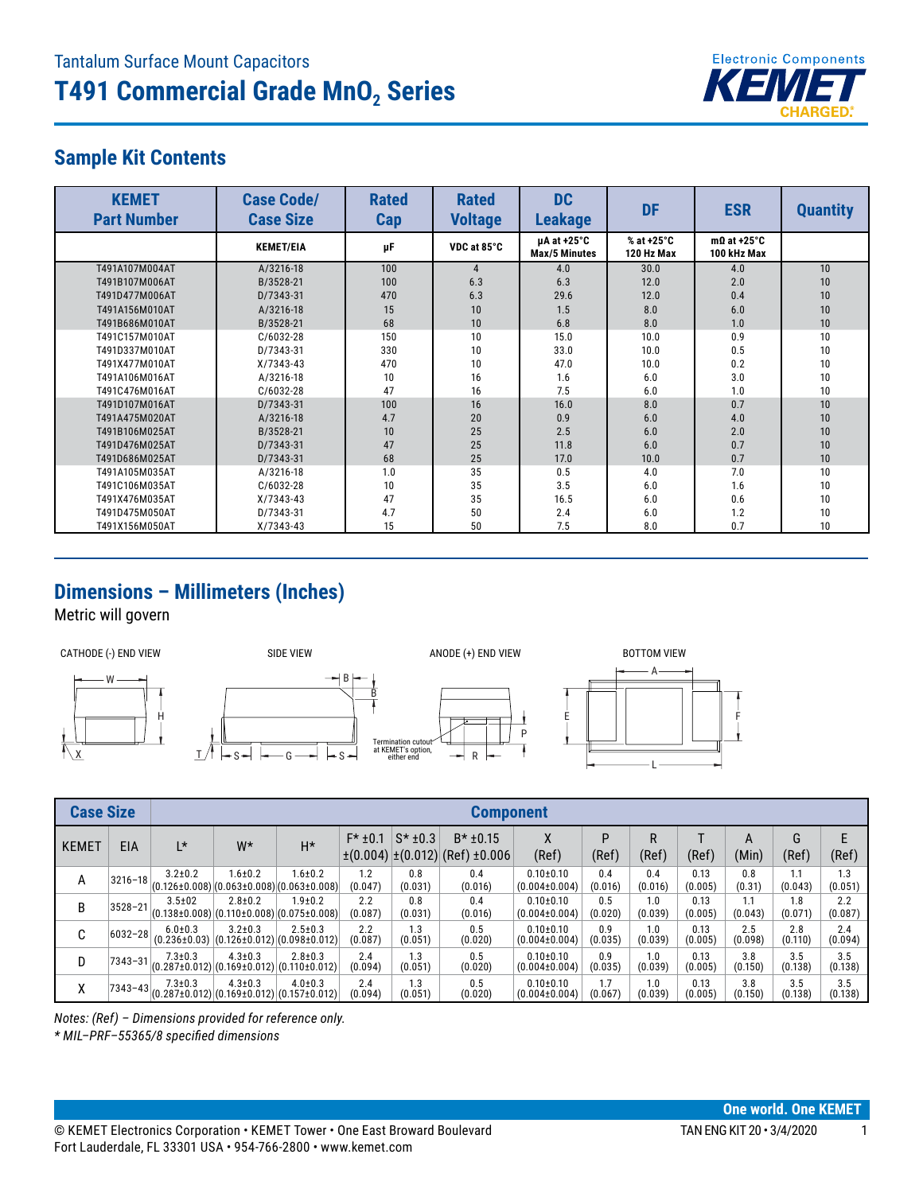

## **Sample Kit Contents**

| <b>KEMET</b><br><b>Part Number</b> | <b>Case Code/</b><br><b>Case Size</b> | <b>Rated</b><br>Cap | <b>Rated</b><br><b>Voltage</b> | <b>DC</b><br><b>Leakage</b>                        | <b>DF</b>                | <b>ESR</b>                        | <b>Quantity</b> |
|------------------------------------|---------------------------------------|---------------------|--------------------------------|----------------------------------------------------|--------------------------|-----------------------------------|-----------------|
|                                    | <b>KEMET/EIA</b>                      | μF                  | VDC at 85°C                    | $\mu$ A at +25 $\degree$ C<br><b>Max/5 Minutes</b> | % at +25°C<br>120 Hz Max | $m\Omega$ at +25°C<br>100 kHz Max |                 |
| T491A107M004AT                     | A/3216-18                             | 100                 | 4                              | 4.0                                                | 30.0                     | 4.0                               | 10              |
| T491B107M006AT                     | B/3528-21                             | 100                 | 6.3                            | 6.3                                                | 12.0                     | 2.0                               | 10              |
| T491D477M006AT                     | D/7343-31                             | 470                 | 6.3                            | 29.6                                               | 12.0                     | 0.4                               | 10              |
| T491A156M010AT                     | A/3216-18                             | 15                  | 10                             | 1.5                                                | 8.0                      | 6.0                               | 10              |
| T491B686M010AT                     | B/3528-21                             | 68                  | 10                             | 6.8                                                | 8.0                      | 1.0                               | 10              |
| T491C157M010AT                     | C/6032-28                             | 150                 | 10                             | 15.0                                               | 10.0                     | 0.9                               | 10              |
| T491D337M010AT                     | D/7343-31                             | 330                 | 10                             | 33.0                                               | 10.0                     | 0.5                               | 10              |
| T491X477M010AT                     | $X/7343-43$                           | 470                 | 10                             | 47.0                                               | 10.0                     | 0.2                               | 10              |
| T491A106M016AT                     | A/3216-18                             | 10                  | 16                             | 1.6                                                | 6.0                      | 3.0                               | 10              |
| T491C476M016AT                     | $C/6032-28$                           | 47                  | 16                             | 7.5                                                | 6.0                      | 1.0                               | 10              |
| T491D107M016AT                     | D/7343-31                             | 100                 | 16                             | 16.0                                               | 8.0                      | 0.7                               | 10              |
| T491A475M020AT                     | A/3216-18                             | 4.7                 | 20                             | 0.9                                                | 6.0                      | 4.0                               | 10              |
| T491B106M025AT                     | B/3528-21                             | 10                  | 25                             | 2.5                                                | 6.0                      | 2.0                               | 10              |
| T491D476M025AT                     | D/7343-31                             | 47                  | 25                             | 11.8                                               | 6.0                      | 0.7                               | 10              |
| T491D686M025AT                     | D/7343-31                             | 68                  | 25                             | 17.0                                               | 10.0                     | 0.7                               | 10              |
| T491A105M035AT                     | A/3216-18                             | 1.0                 | 35                             | 0.5                                                | 4.0                      | 7.0                               | 10              |
| T491C106M035AT                     | $C/6032-28$                           | 10                  | 35                             | 3.5                                                | 6.0                      | 1.6                               | 10              |
| T491X476M035AT                     | $X/7343-43$                           | 47                  | 35                             | 16.5                                               | 6.0                      | 0.6                               | 10              |
| T491D475M050AT                     | D/7343-31                             | 4.7                 | 50                             | 2.4                                                | 6.0                      | 1.2                               | 10              |
| T491X156M050AT                     | $X/7343-43$                           | 15                  | 50                             | 7.5                                                | 8.0                      | 0.7                               | 10              |

## **Dimensions – Millimeters (Inches)**

Metric will govern



| <b>Case Size</b> |             | <b>Component</b>                  |                                                                      |               |                |                |                                                           |                                        |                |                |                 |                |                |                |
|------------------|-------------|-----------------------------------|----------------------------------------------------------------------|---------------|----------------|----------------|-----------------------------------------------------------|----------------------------------------|----------------|----------------|-----------------|----------------|----------------|----------------|
| <b>KEMET</b>     | EIA         | L*                                | W*                                                                   | $H^*$         | $F* + 0.1$     | $S*$ ±0.3      | $B*$ ±0.15<br>$\pm (0.004) \pm (0.012)$ (Ref) $\pm 0.006$ | ∧<br>(Ref)                             | P<br>(Ref)     | R<br>(Ref)     | (Ref)           | A<br>(Min)     | G<br>(Ref)     | (Ref)          |
| A                | $3216 - 18$ | $3.2 \pm 0.2$                     | $1.6 + 0.2$<br>$(0.126 \pm 0.008)(0.063 \pm 0.008)(0.063 \pm 0.008)$ | $1.6 + 0.2$   | 1.2<br>(0.047) | 0.8<br>(0.031) | 0.4<br>(0.016)                                            | $0.10 \pm 0.10$<br>$(0.004 \pm 0.004)$ | 0.4<br>(0.016) | 0.4<br>(0.016) | 0.13<br>(0.005) | 0.8<br>(0.31)  | 1.1<br>(0.043) | 1.3<br>(0.051) |
| B                | $3528 - 21$ | $3.5 \pm 02$                      | $2.8 \pm 0.2$<br>$(0.138\pm0.008)(0.110\pm0.008)(0.075\pm0.008)$     | $1.9 + 0.2$   | 2.2<br>(0.087) | 0.8<br>(0.031) | 0.4<br>(0.016)                                            | $0.10 \pm 0.10$<br>$(0.004 \pm 0.004)$ | 0.5<br>(0.020) | 1.0<br>(0.039) | 0.13<br>(0.005) | 1.1<br>(0.043) | 1.8<br>(0.071) | 2.2<br>(0.087) |
| C                | 6032-28     | $6.0 + 0.3$<br>$(0.236 \pm 0.03)$ | $3.2 \pm 0.3$<br>$(0.126 \pm 0.012)$ $(0.098 \pm 0.012)$             | $2.5 \pm 0.3$ | 2.2<br>(0.087) | 1.3<br>(0.051) | 0.5<br>(0.020)                                            | $0.10 \pm 0.10$<br>$(0.004 \pm 0.004)$ | 0.9<br>(0.035) | 1.0<br>(0.039) | 0.13<br>(0.005) | 2.5<br>(0.098) | 2.8<br>(0.110) | 2.4<br>(0.094) |
| D                | $7343 - 31$ | $7.3 + 0.3$                       | $4.3 \pm 0.3$<br>$(0.287\pm0.012)(0.169\pm0.012)(0.110\pm0.012)$     | $2.8 + 0.3$   | 2.4<br>(0.094) | 1.3<br>(0.051) | 0.5<br>(0.020)                                            | $0.10 + 0.10$<br>$(0.004 \pm 0.004)$   | 0.9<br>(0.035) | 1.0<br>(0.039) | 0.13<br>(0.005) | 3.8<br>(0.150) | 3.5<br>(0.138) | 3.5<br>(0.138) |
| χ                | 7343-43     | $7.3 + 0.3$                       | $4.3 \pm 0.3$<br>$(0.287\pm0.012)(0.169\pm0.012)(0.157\pm0.012)$     | $4.0 \pm 0.3$ | 2.4<br>(0.094) | 1.3<br>(0.051) | 0.5<br>(0.020)                                            | $0.10 \pm 0.10$<br>$(0.004 \pm 0.004)$ | 1.7<br>(0.067) | 1.0<br>(0.039) | 0.13<br>(0.005) | 3.8<br>(0.150) | 3.5<br>(0.138) | 3.5<br>(0.138) |

*Notes: (Ref) – Dimensions provided for reference only.*

*\* MIL–PRF–55365/8 specified dimensions*